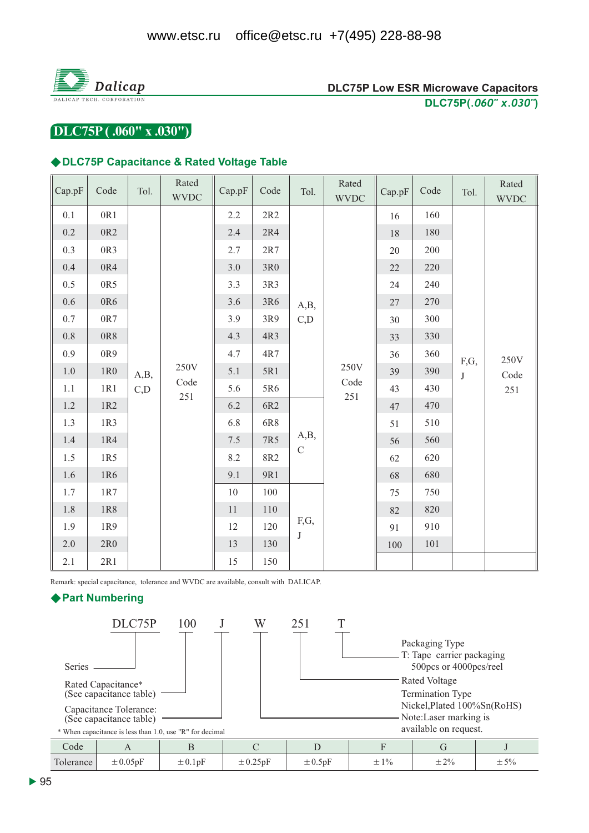

# DLC75P (.060" x .030")

#### ◆DLC75P Capacitance & Rated Voltage Table

| Cap.pF  | Code            | Tol.        | Rated<br><b>WVDC</b> | Cap.pF  | Code  | Tol.                | Rated<br><b>WVDC</b> | Cap.pF    | Code | Tol.            | Rated<br><b>WVDC</b>    |  |  |
|---------|-----------------|-------------|----------------------|---------|-------|---------------------|----------------------|-----------|------|-----------------|-------------------------|--|--|
| 0.1     | 0R1             |             | 250V<br>Code<br>251  | 2.2     | 2R2   |                     | A,B,<br>C,D          | 16        | 160  |                 |                         |  |  |
| $0.2\,$ | 0R <sub>2</sub> |             |                      | 2.4     | 2R4   |                     |                      | 18        | 180  |                 |                         |  |  |
| 0.3     | 0R3             |             |                      | 2.7     | $2R7$ |                     |                      | 20        | 200  |                 |                         |  |  |
| $0.4\,$ | 0R4             |             |                      | 3.0     | $3R0$ | A,B,<br>$\mathbf C$ |                      | 22        | 220  |                 |                         |  |  |
| 0.5     | 0R5             |             |                      | 3.3     | 3R3   |                     |                      | 24        | 240  |                 |                         |  |  |
| $0.6\,$ | 0R6             |             |                      | 3.6     | 3R6   |                     |                      | 27        | 270  |                 |                         |  |  |
| $0.7\,$ | 0R7             |             |                      | 3.9     | 3R9   |                     |                      | 30        | 300  |                 |                         |  |  |
| $0.8\,$ | 0R8             | A,B,<br>C,D |                      | 4.3     | 4R3   |                     |                      |           | 33   | 330             |                         |  |  |
| 0.9     | 0R9             |             |                      | 4.7     | 4R7   |                     | 250V<br>Code<br>251  | 36        | 360  | F,G,<br>$\bf J$ | 250V<br>Code<br>$251\,$ |  |  |
| $1.0\,$ | $1R0$           |             |                      | 5.1     | 5R1   |                     |                      | 39        | 390  |                 |                         |  |  |
| $1.1\,$ | 1R1             |             |                      | 5.6     | 5R6   |                     |                      | 43        | 430  |                 |                         |  |  |
| $1.2\,$ | 1R2             |             |                      | 6.2     | 6R2   |                     |                      | 47        | 470  |                 |                         |  |  |
| 1.3     | 1R3             |             |                      | 6.8     | 6R8   |                     |                      |           | 51   | 510             |                         |  |  |
| $1.4\,$ | 1R4             |             |                      | $7.5\,$ | 7R5   |                     |                      |           | 56   | 560             |                         |  |  |
| 1.5     | 1R5             |             |                      | 8.2     | 8R2   |                     |                      |           | 62   | 620             |                         |  |  |
| 1.6     | 1R6             |             |                      | 9.1     | 9R1   |                     |                      | 68        | 680  |                 |                         |  |  |
| 1.7     | 1R7             |             |                      | $10\,$  | 100   | F,G,<br>$\bf J$     |                      | 75        | 750  |                 |                         |  |  |
| $1.8\,$ | 1R8             |             |                      | 11      | 110   |                     |                      | 820<br>82 |      |                 |                         |  |  |
| 1.9     | 1R9             |             |                      | 12      | 120   |                     |                      |           |      | 91              | 910                     |  |  |
| 2.0     | 2R0             |             |                      | 13      | 130   |                     |                      |           |      | 100             | 101                     |  |  |
| 2.1     | 2R1             |             |                      |         |       |                     | 15                   | 150       |      |                 |                         |  |  |

Remark: special capacitance, tolerance and WVDC are available, consult with DALICAP.

## ▶ Part Numbering

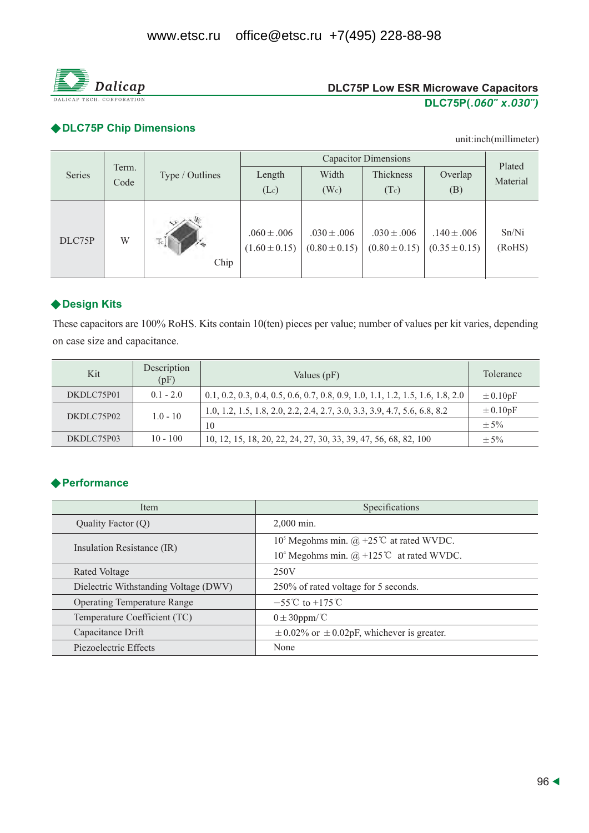

# ◆ DLC75P Chip Dimensions

unit:inch(millimeter)

|        | Term.<br>Code |                 |                                      | Plated                               |                                      |                                      |                 |
|--------|---------------|-----------------|--------------------------------------|--------------------------------------|--------------------------------------|--------------------------------------|-----------------|
| Series |               | Type / Outlines | Length                               | Width                                | Thickness                            | Overlap                              | Material        |
|        |               |                 | (Lc)                                 | (W <sub>c</sub> )                    | (Tc)                                 | (B)                                  |                 |
| DLC75P | W             | Tc<br>Chip      | $.060 \pm .006$<br>$(1.60 \pm 0.15)$ | $.030 \pm .006$<br>$(0.80 \pm 0.15)$ | $.030 \pm .006$<br>$(0.80 \pm 0.15)$ | $.140 \pm .006$<br>$(0.35 \pm 0.15)$ | Sn/Ni<br>(RoHS) |

# ◆ Design Kits

These capacitors are 100% RoHS. Kits contain 10(ten) pieces per value; number of values per kit varies, depending on case size and capacitance.

| Kit        | Description<br>(pF) | Values (pF)                                                                      | <b>Tolerance</b> |
|------------|---------------------|----------------------------------------------------------------------------------|------------------|
| DKDLC75P01 | $0.1 - 2.0$         | $0.1, 0.2, 0.3, 0.4, 0.5, 0.6, 0.7, 0.8, 0.9, 1.0, 1.1, 1.2, 1.5, 1.6, 1.8, 2.0$ | $\pm 0.10pF$     |
| DKDLC75P02 | $1.0 - 10$          | 1.0, 1.2, 1.5, 1.8, 2.0, 2.2, 2.4, 2.7, 3.0, 3.3, 3.9, 4.7, 5.6, 6.8, 8.2        | $\pm 0.10pF$     |
|            |                     | 10                                                                               | $\pm$ 5%         |
| DKDLC75P03 | $10 - 100$          | 10, 12, 15, 18, 20, 22, 24, 27, 30, 33, 39, 47, 56, 68, 82, 100                  | $\pm$ 5%         |

# **◆ Performance**

| <b>Item</b>                           | Specifications                                                   |  |  |
|---------------------------------------|------------------------------------------------------------------|--|--|
| Quality Factor (Q)                    | $2.000$ min.                                                     |  |  |
|                                       | 10 <sup>5</sup> Megohms min. @ +25 <sup>°</sup> C at rated WVDC. |  |  |
| Insulation Resistance (IR)            | 10 <sup>4</sup> Megohms min. $@ + 125$ °C at rated WVDC.         |  |  |
| Rated Voltage                         | 250V                                                             |  |  |
| Dielectric Withstanding Voltage (DWV) | 250% of rated voltage for 5 seconds.                             |  |  |
| <b>Operating Temperature Range</b>    | $-55^{\circ}$ C to $+175^{\circ}$ C                              |  |  |
| Temperature Coefficient (TC)          | $0 \pm 30$ ppm/°C                                                |  |  |
| Capacitance Drift                     | $\pm$ 0.02% or $\pm$ 0.02pF, whichever is greater.               |  |  |
| Piezoelectric Effects                 | None                                                             |  |  |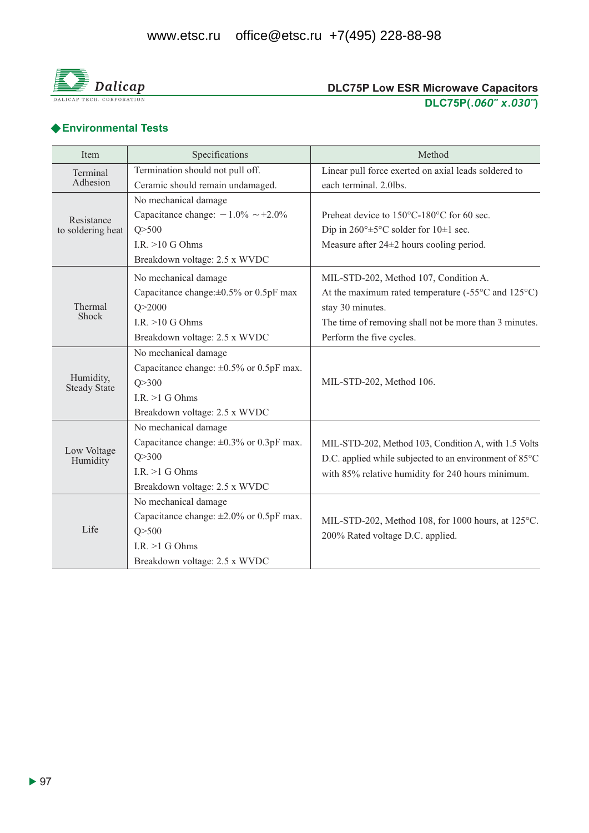

# ◆ Environmental Tests

| Item                             | Specifications                                | Method                                                                                                      |  |  |
|----------------------------------|-----------------------------------------------|-------------------------------------------------------------------------------------------------------------|--|--|
| Terminal                         | Termination should not pull off.              | Linear pull force exerted on axial leads soldered to                                                        |  |  |
| Adhesion                         | Ceramic should remain undamaged.              | each terminal. 2.0lbs.                                                                                      |  |  |
|                                  | No mechanical damage                          |                                                                                                             |  |  |
| Resistance                       | Capacitance change: $-1.0\% \sim +2.0\%$      | Preheat device to 150°C-180°C for 60 sec.                                                                   |  |  |
| to soldering heat                | Q > 500                                       | Dip in $260^{\circ} \pm 5^{\circ}$ C solder for $10 \pm 1$ sec.                                             |  |  |
|                                  | I.R. $>10$ G Ohms                             | Measure after $24\pm 2$ hours cooling period.                                                               |  |  |
|                                  | Breakdown voltage: 2.5 x WVDC                 |                                                                                                             |  |  |
|                                  | No mechanical damage                          | MIL-STD-202, Method 107, Condition A.                                                                       |  |  |
|                                  | Capacitance change: $\pm 0.5\%$ or 0.5pF max  | At the maximum rated temperature $(-55^{\circ}$ C and $125^{\circ}$ C)                                      |  |  |
| Thermal<br>Shock                 | Q > 2000                                      | stay 30 minutes.                                                                                            |  |  |
|                                  | I.R. $>10$ G Ohms                             | The time of removing shall not be more than 3 minutes.                                                      |  |  |
|                                  | Breakdown voltage: 2.5 x WVDC                 | Perform the five cycles.                                                                                    |  |  |
|                                  | No mechanical damage                          |                                                                                                             |  |  |
|                                  | Capacitance change: $\pm 0.5\%$ or 0.5pF max. | MIL-STD-202, Method 106.                                                                                    |  |  |
| Humidity,<br><b>Steady State</b> | Q > 300                                       |                                                                                                             |  |  |
|                                  | I.R. $>1$ G Ohms                              |                                                                                                             |  |  |
|                                  | Breakdown voltage: 2.5 x WVDC                 |                                                                                                             |  |  |
|                                  | No mechanical damage                          |                                                                                                             |  |  |
|                                  | Capacitance change: $\pm 0.3\%$ or 0.3pF max. | MIL-STD-202, Method 103, Condition A, with 1.5 Volts                                                        |  |  |
| Low Voltage<br>Humidity          | Q > 300                                       | D.C. applied while subjected to an environment of 85°C<br>with 85% relative humidity for 240 hours minimum. |  |  |
|                                  | I.R. $>1$ G Ohms                              |                                                                                                             |  |  |
|                                  | Breakdown voltage: 2.5 x WVDC                 |                                                                                                             |  |  |
|                                  | No mechanical damage                          | MIL-STD-202, Method 108, for 1000 hours, at 125°C.<br>200% Rated voltage D.C. applied.                      |  |  |
|                                  | Capacitance change: $\pm 2.0\%$ or 0.5pF max. |                                                                                                             |  |  |
| Life                             | Q > 500                                       |                                                                                                             |  |  |
|                                  | I.R. $>1$ G Ohms                              |                                                                                                             |  |  |
|                                  | Breakdown voltage: 2.5 x WVDC                 |                                                                                                             |  |  |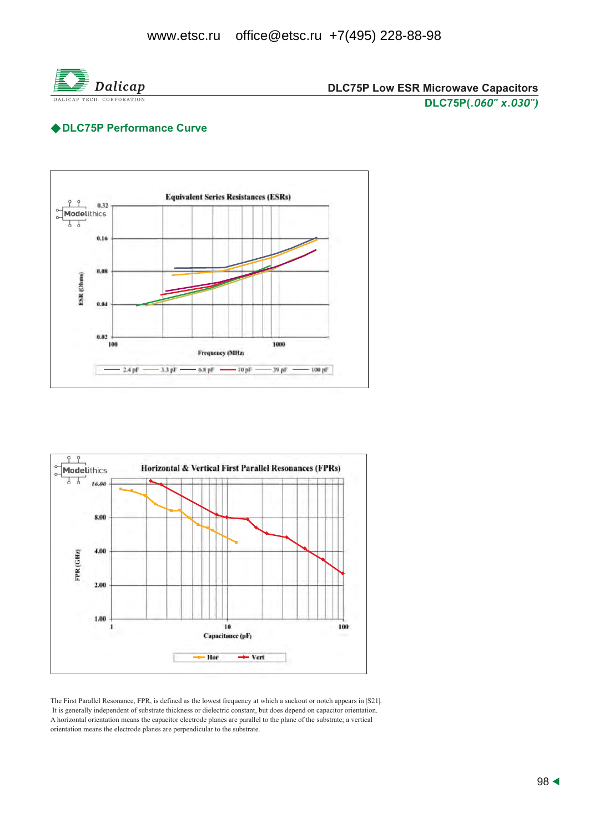

# ◆DLC75P Performance Curve





The First Parallel Resonance, FPR, is defined as the lowest frequency at which a suckout or notch appears in [S21]. It is generally independent of substrate thickness or dielectric constant, but does depend on capacitor orientation. A horizontal orientation means the capacitor electrode planes are parallel to the plane of the substrate; a vertical orientation means the electrode planes are perpendicular to the substrate.